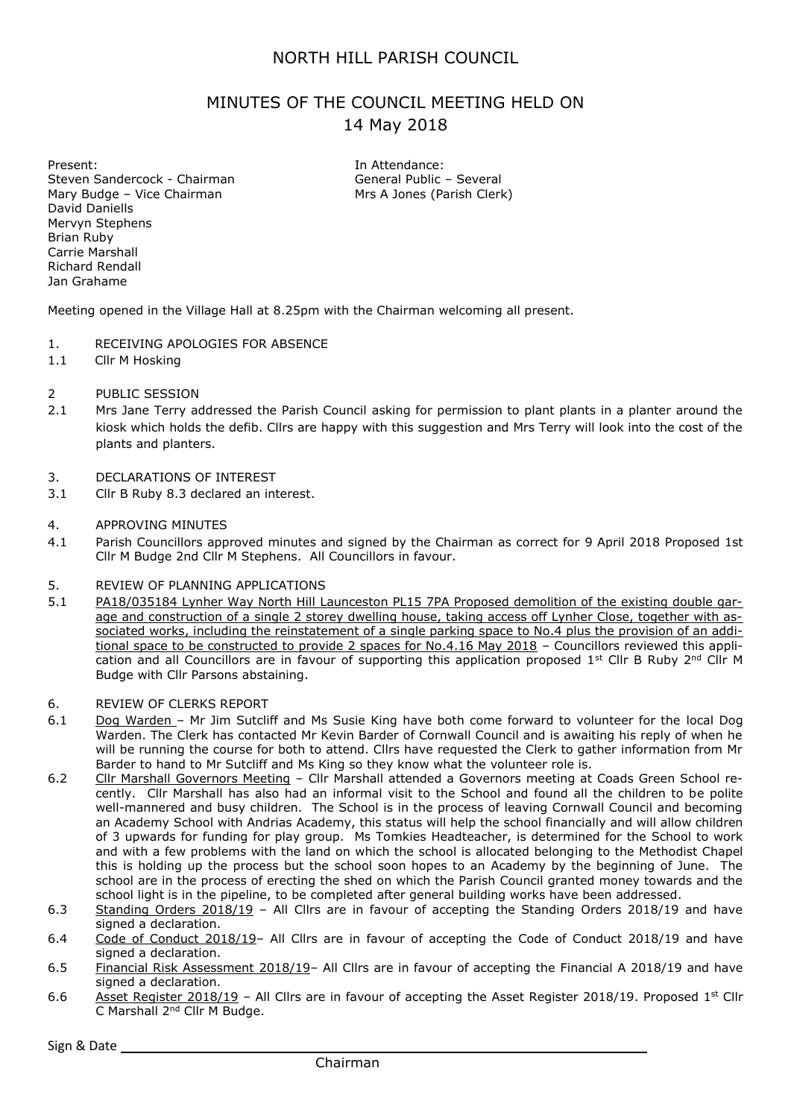## NORTH HILL PARISH COUNCIL

# MINUTES OF THE COUNCIL MEETING HELD ON 14 May 2018

Present: Steven Sandercock - Chairman Mary Budge – Vice Chairman David Daniells Mervyn Stephens Brian Ruby Carrie Marshall Richard Rendall Jan Grahame

In Attendance: General Public – Several Mrs A Jones (Parish Clerk)

Meeting opened in the Village Hall at 8.25pm with the Chairman welcoming all present.

- 1. RECEIVING APOLOGIES FOR ABSENCE
- 1.1 Cllr M Hosking
- 2 PUBLIC SESSION
- 2.1 Mrs Jane Terry addressed the Parish Council asking for permission to plant plants in a planter around the kiosk which holds the defib. Cllrs are happy with this suggestion and Mrs Terry will look into the cost of the plants and planters.
- 3. DECLARATIONS OF INTEREST
- 3.1 Cllr B Ruby 8.3 declared an interest.

#### 4. APPROVING MINUTES

4.1 Parish Councillors approved minutes and signed by the Chairman as correct for 9 April 2018 Proposed 1st Cllr M Budge 2nd Cllr M Stephens. All Councillors in favour.

#### 5. REVIEW OF PLANNING APPLICATIONS

- 5.1 PA18/035184 Lynher Way North Hill Launceston PL15 7PA Proposed demolition of the existing double garage and construction of a single 2 storey dwelling house, taking access off Lynher Close, together with associated works, including the reinstatement of a single parking space to No.4 plus the provision of an additional space to be constructed to provide 2 spaces for No.4.16 May 2018 - Councillors reviewed this application and all Councillors are in favour of supporting this application proposed 1<sup>st</sup> Cllr B Ruby 2<sup>nd</sup> Cllr M Budge with Cllr Parsons abstaining.
- 6. REVIEW OF CLERKS REPORT
- 6.1 Dog Warden Mr Jim Sutcliff and Ms Susie King have both come forward to volunteer for the local Dog Warden. The Clerk has contacted Mr Kevin Barder of Cornwall Council and is awaiting his reply of when he will be running the course for both to attend. Cllrs have requested the Clerk to gather information from Mr Barder to hand to Mr Sutcliff and Ms King so they know what the volunteer role is.
- 6.2 Cllr Marshall Governors Meeting Cllr Marshall attended a Governors meeting at Coads Green School recently. Cllr Marshall has also had an informal visit to the School and found all the children to be polite well-mannered and busy children. The School is in the process of leaving Cornwall Council and becoming an Academy School with Andrias Academy, this status will help the school financially and will allow children of 3 upwards for funding for play group. Ms Tomkies Headteacher, is determined for the School to work and with a few problems with the land on which the school is allocated belonging to the Methodist Chapel this is holding up the process but the school soon hopes to an Academy by the beginning of June. The school are in the process of erecting the shed on which the Parish Council granted money towards and the school light is in the pipeline, to be completed after general building works have been addressed.
- 6.3 Standing Orders 2018/19 All Cllrs are in favour of accepting the Standing Orders 2018/19 and have signed a declaration.
- 6.4 Code of Conduct 2018/19– All Cllrs are in favour of accepting the Code of Conduct 2018/19 and have signed a declaration.
- 6.5 Financial Risk Assessment 2018/19– All Cllrs are in favour of accepting the Financial A 2018/19 and have signed a declaration.
- 6.6 Asset Register 2018/19 All Cllrs are in favour of accepting the Asset Register 2018/19. Proposed 1<sup>st</sup> Cllr C Marshall 2nd Cllr M Budge.